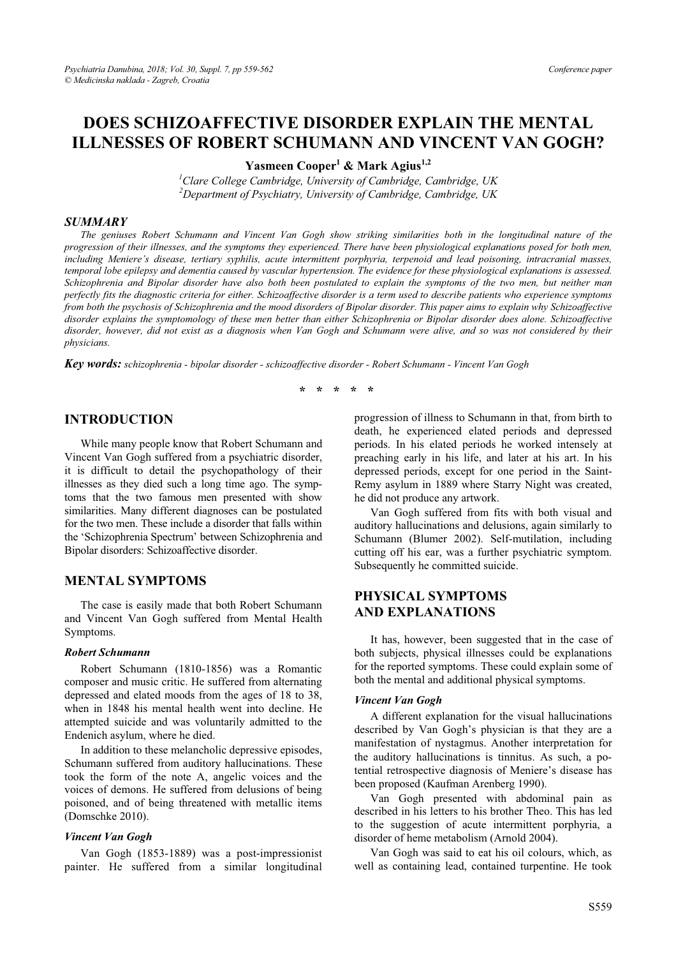# **DOES SCHIZOAFFECTIVE DISORDER EXPLAIN THE MENTAL ILLNESSES OF ROBERT SCHUMANN AND VINCENT VAN GOGH?**

**Yasmeen Cooper<sup>1</sup> & Mark Agius1,2**

*1 Clare College Cambridge, University of Cambridge, Cambridge, UK 2 Department of Psychiatry, University of Cambridge, Cambridge, UK* 

#### *SUMMARY*

*The geniuses Robert Schumann and Vincent Van Gogh show striking similarities both in the longitudinal nature of the progression of their illnesses, and the symptoms they experienced. There have been physiological explanations posed for both men, including Meniere's disease, tertiary syphilis, acute intermittent porphyria, terpenoid and lead poisoning, intracranial masses, temporal lobe epilepsy and dementia caused by vascular hypertension. The evidence for these physiological explanations is assessed. Schizophrenia and Bipolar disorder have also both been postulated to explain the symptoms of the two men, but neither man perfectly fits the diagnostic criteria for either. Schizoaffective disorder is a term used to describe patients who experience symptoms from both the psychosis of Schizophrenia and the mood disorders of Bipolar disorder. This paper aims to explain why Schizoaffective disorder explains the symptomology of these men better than either Schizophrenia or Bipolar disorder does alone. Schizoaffective disorder, however, did not exist as a diagnosis when Van Gogh and Schumann were alive, and so was not considered by their physicians.*

*Key words: schizophrenia - bipolar disorder - schizoaffective disorder - Robert Schumann - Vincent Van Gogh* 

**\* \* \* \* \*** 

### **INTRODUCTION**

While many people know that Robert Schumann and Vincent Van Gogh suffered from a psychiatric disorder, it is difficult to detail the psychopathology of their illnesses as they died such a long time ago. The symptoms that the two famous men presented with show similarities. Many different diagnoses can be postulated for the two men. These include a disorder that falls within the 'Schizophrenia Spectrum' between Schizophrenia and Bipolar disorders: Schizoaffective disorder.

#### **MENTAL SYMPTOMS**

The case is easily made that both Robert Schumann and Vincent Van Gogh suffered from Mental Health Symptoms.

#### *Robert Schumann*

Robert Schumann (1810-1856) was a Romantic composer and music critic. He suffered from alternating depressed and elated moods from the ages of 18 to 38, when in 1848 his mental health went into decline. He attempted suicide and was voluntarily admitted to the Endenich asylum, where he died.

In addition to these melancholic depressive episodes, Schumann suffered from auditory hallucinations. These took the form of the note A, angelic voices and the voices of demons. He suffered from delusions of being poisoned, and of being threatened with metallic items (Domschke 2010).

#### *Vincent Van Gogh*

Van Gogh (1853-1889) was a post-impressionist painter. He suffered from a similar longitudinal

progression of illness to Schumann in that, from birth to death, he experienced elated periods and depressed periods. In his elated periods he worked intensely at preaching early in his life, and later at his art. In his depressed periods, except for one period in the Saint-Remy asylum in 1889 where Starry Night was created, he did not produce any artwork.

Van Gogh suffered from fits with both visual and auditory hallucinations and delusions, again similarly to Schumann (Blumer 2002). Self-mutilation, including cutting off his ear, was a further psychiatric symptom. Subsequently he committed suicide.

# **PHYSICAL SYMPTOMS AND EXPLANATIONS**

It has, however, been suggested that in the case of both subjects, physical illnesses could be explanations for the reported symptoms. These could explain some of both the mental and additional physical symptoms.

#### *Vincent Van Gogh*

A different explanation for the visual hallucinations described by Van Gogh's physician is that they are a manifestation of nystagmus. Another interpretation for the auditory hallucinations is tinnitus. As such, a potential retrospective diagnosis of Meniere's disease has been proposed (Kaufman Arenberg 1990).

Van Gogh presented with abdominal pain as described in his letters to his brother Theo. This has led to the suggestion of acute intermittent porphyria, a disorder of heme metabolism (Arnold 2004).

Van Gogh was said to eat his oil colours, which, as well as containing lead, contained turpentine. He took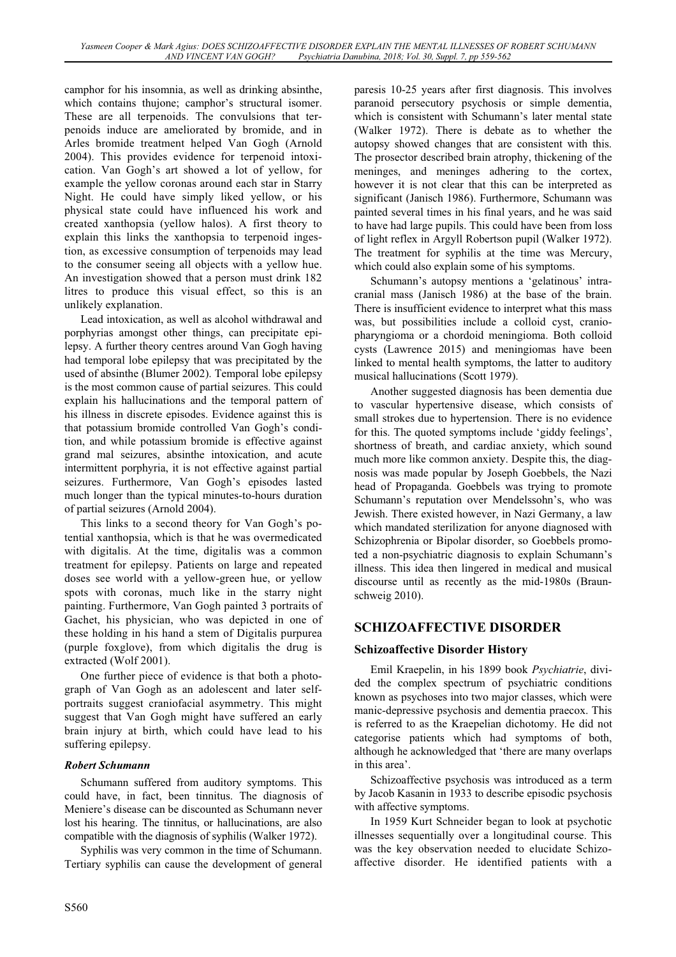camphor for his insomnia, as well as drinking absinthe, which contains thujone; camphor's structural isomer. These are all terpenoids. The convulsions that terpenoids induce are ameliorated by bromide, and in Arles bromide treatment helped Van Gogh (Arnold 2004). This provides evidence for terpenoid intoxication. Van Gogh's art showed a lot of yellow, for example the yellow coronas around each star in Starry Night. He could have simply liked yellow, or his physical state could have influenced his work and created xanthopsia (yellow halos). A first theory to explain this links the xanthopsia to terpenoid ingestion, as excessive consumption of terpenoids may lead to the consumer seeing all objects with a yellow hue. An investigation showed that a person must drink 182 litres to produce this visual effect, so this is an unlikely explanation.

Lead intoxication, as well as alcohol withdrawal and porphyrias amongst other things, can precipitate epilepsy. A further theory centres around Van Gogh having had temporal lobe epilepsy that was precipitated by the used of absinthe (Blumer 2002). Temporal lobe epilepsy is the most common cause of partial seizures. This could explain his hallucinations and the temporal pattern of his illness in discrete episodes. Evidence against this is that potassium bromide controlled Van Gogh's condition, and while potassium bromide is effective against grand mal seizures, absinthe intoxication, and acute intermittent porphyria, it is not effective against partial seizures. Furthermore, Van Gogh's episodes lasted much longer than the typical minutes-to-hours duration of partial seizures (Arnold 2004).

This links to a second theory for Van Gogh's potential xanthopsia, which is that he was overmedicated with digitalis. At the time, digitalis was a common treatment for epilepsy. Patients on large and repeated doses see world with a yellow-green hue, or yellow spots with coronas, much like in the starry night painting. Furthermore, Van Gogh painted 3 portraits of Gachet, his physician, who was depicted in one of these holding in his hand a stem of Digitalis purpurea (purple foxglove), from which digitalis the drug is extracted (Wolf 2001).

One further piece of evidence is that both a photograph of Van Gogh as an adolescent and later selfportraits suggest craniofacial asymmetry. This might suggest that Van Gogh might have suffered an early brain injury at birth, which could have lead to his suffering epilepsy.

#### *Robert Schumann*

Schumann suffered from auditory symptoms. This could have, in fact, been tinnitus. The diagnosis of Meniere's disease can be discounted as Schumann never lost his hearing. The tinnitus, or hallucinations, are also compatible with the diagnosis of syphilis (Walker 1972).

Syphilis was very common in the time of Schumann. Tertiary syphilis can cause the development of general paresis 10-25 years after first diagnosis. This involves paranoid persecutory psychosis or simple dementia, which is consistent with Schumann's later mental state (Walker 1972). There is debate as to whether the autopsy showed changes that are consistent with this. The prosector described brain atrophy, thickening of the meninges, and meninges adhering to the cortex, however it is not clear that this can be interpreted as significant (Janisch 1986). Furthermore, Schumann was painted several times in his final years, and he was said to have had large pupils. This could have been from loss of light reflex in Argyll Robertson pupil (Walker 1972). The treatment for syphilis at the time was Mercury, which could also explain some of his symptoms.

Schumann's autopsy mentions a 'gelatinous' intracranial mass (Janisch 1986) at the base of the brain. There is insufficient evidence to interpret what this mass was, but possibilities include a colloid cyst, craniopharyngioma or a chordoid meningioma. Both colloid cysts (Lawrence 2015) and meningiomas have been linked to mental health symptoms, the latter to auditory musical hallucinations (Scott 1979).

Another suggested diagnosis has been dementia due to vascular hypertensive disease, which consists of small strokes due to hypertension. There is no evidence for this. The quoted symptoms include 'giddy feelings', shortness of breath, and cardiac anxiety, which sound much more like common anxiety. Despite this, the diagnosis was made popular by Joseph Goebbels, the Nazi head of Propaganda. Goebbels was trying to promote Schumann's reputation over Mendelssohn's, who was Jewish. There existed however, in Nazi Germany, a law which mandated sterilization for anyone diagnosed with Schizophrenia or Bipolar disorder, so Goebbels promoted a non-psychiatric diagnosis to explain Schumann's illness. This idea then lingered in medical and musical discourse until as recently as the mid-1980s (Braunschweig 2010).

# **SCHIZOAFFECTIVE DISORDER**

# **Schizoaffective Disorder History**

Emil Kraepelin, in his 1899 book *Psychiatrie*, divided the complex spectrum of psychiatric conditions known as psychoses into two major classes, which were manic-depressive psychosis and dementia praecox. This is referred to as the Kraepelian dichotomy. He did not categorise patients which had symptoms of both, although he acknowledged that 'there are many overlaps in this area'.

Schizoaffective psychosis was introduced as a term by Jacob Kasanin in 1933 to describe episodic psychosis with affective symptoms.

In 1959 Kurt Schneider began to look at psychotic illnesses sequentially over a longitudinal course. This was the key observation needed to elucidate Schizoaffective disorder. He identified patients with a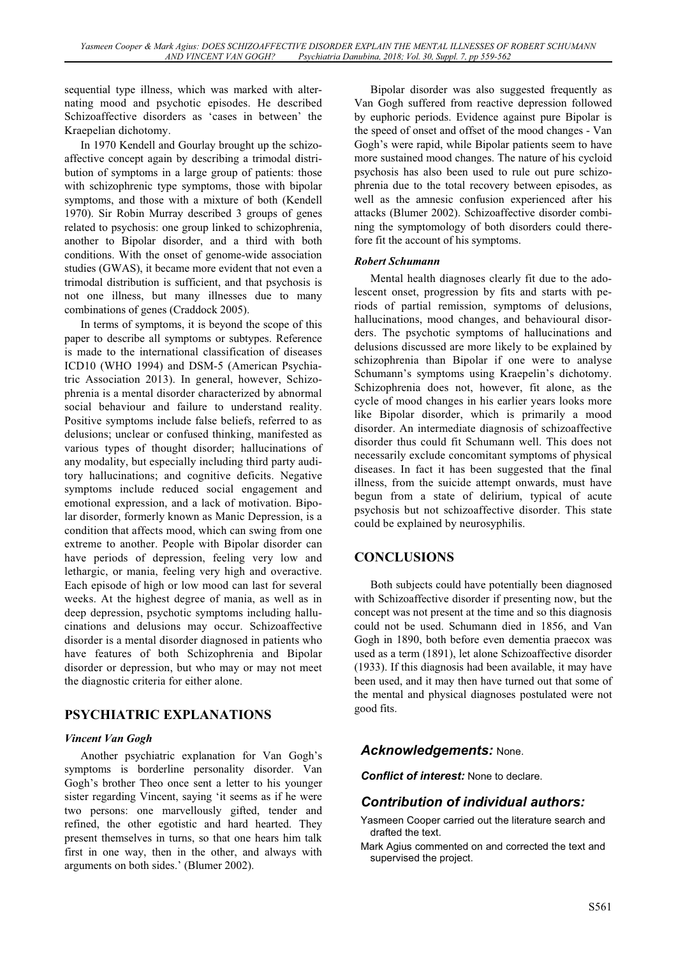sequential type illness, which was marked with alternating mood and psychotic episodes. He described Schizoaffective disorders as 'cases in between' the Kraepelian dichotomy.

In 1970 Kendell and Gourlay brought up the schizoaffective concept again by describing a trimodal distribution of symptoms in a large group of patients: those with schizophrenic type symptoms, those with bipolar symptoms, and those with a mixture of both (Kendell 1970). Sir Robin Murray described 3 groups of genes related to psychosis: one group linked to schizophrenia, another to Bipolar disorder, and a third with both conditions. With the onset of genome-wide association studies (GWAS), it became more evident that not even a trimodal distribution is sufficient, and that psychosis is not one illness, but many illnesses due to many combinations of genes (Craddock 2005).

In terms of symptoms, it is beyond the scope of this paper to describe all symptoms or subtypes. Reference is made to the international classification of diseases ICD10 (WHO 1994) and DSM-5 (American Psychiatric Association 2013). In general, however, Schizophrenia is a mental disorder characterized by abnormal social behaviour and failure to understand reality. Positive symptoms include false beliefs, referred to as delusions; unclear or confused thinking, manifested as various types of thought disorder; hallucinations of any modality, but especially including third party auditory hallucinations; and cognitive deficits. Negative symptoms include reduced social engagement and emotional expression, and a lack of motivation. Bipolar disorder, formerly known as Manic Depression, is a condition that affects mood, which can swing from one extreme to another. People with Bipolar disorder can have periods of depression, feeling very low and lethargic, or mania, feeling very high and overactive. Each episode of high or low mood can last for several weeks. At the highest degree of mania, as well as in deep depression, psychotic symptoms including hallucinations and delusions may occur. Schizoaffective disorder is a mental disorder diagnosed in patients who have features of both Schizophrenia and Bipolar disorder or depression, but who may or may not meet the diagnostic criteria for either alone.

# **PSYCHIATRIC EXPLANATIONS**

# *Vincent Van Gogh*

Another psychiatric explanation for Van Gogh's symptoms is borderline personality disorder. Van Gogh's brother Theo once sent a letter to his younger sister regarding Vincent, saying 'it seems as if he were two persons: one marvellously gifted, tender and refined, the other egotistic and hard hearted. They present themselves in turns, so that one hears him talk first in one way, then in the other, and always with arguments on both sides.' (Blumer 2002).

Bipolar disorder was also suggested frequently as Van Gogh suffered from reactive depression followed by euphoric periods. Evidence against pure Bipolar is the speed of onset and offset of the mood changes - Van Gogh's were rapid, while Bipolar patients seem to have more sustained mood changes. The nature of his cycloid psychosis has also been used to rule out pure schizophrenia due to the total recovery between episodes, as well as the amnesic confusion experienced after his attacks (Blumer 2002). Schizoaffective disorder combining the symptomology of both disorders could therefore fit the account of his symptoms.

# *Robert Schumann*

Mental health diagnoses clearly fit due to the adolescent onset, progression by fits and starts with periods of partial remission, symptoms of delusions, hallucinations, mood changes, and behavioural disorders. The psychotic symptoms of hallucinations and delusions discussed are more likely to be explained by schizophrenia than Bipolar if one were to analyse Schumann's symptoms using Kraepelin's dichotomy. Schizophrenia does not, however, fit alone, as the cycle of mood changes in his earlier years looks more like Bipolar disorder, which is primarily a mood disorder. An intermediate diagnosis of schizoaffective disorder thus could fit Schumann well. This does not necessarily exclude concomitant symptoms of physical diseases. In fact it has been suggested that the final illness, from the suicide attempt onwards, must have begun from a state of delirium, typical of acute psychosis but not schizoaffective disorder. This state could be explained by neurosyphilis.

# **CONCLUSIONS**

Both subjects could have potentially been diagnosed with Schizoaffective disorder if presenting now, but the concept was not present at the time and so this diagnosis could not be used. Schumann died in 1856, and Van Gogh in 1890, both before even dementia praecox was used as a term (1891), let alone Schizoaffective disorder (1933). If this diagnosis had been available, it may have been used, and it may then have turned out that some of the mental and physical diagnoses postulated were not good fits.

# *Acknowledgements:* None.

*Conflict of interest:* None to declare.

# *Contribution of individual authors:*

- Yasmeen Cooper carried out the literature search and drafted the text.
- Mark Agius commented on and corrected the text and supervised the project.